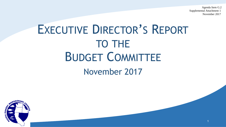Agenda Item G.2 Supplemental Attachment 1 November 2017

1

## EXECUTIVE DIRECTOR'S REPORT TO THE BUDGET COMMITTEE November 2017

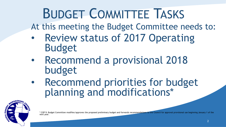## BUDGET COMMITTEE TASKS

At this meeting the Budget Committee needs to:

- Review status of 2017 Operating Budget
- Recommend a provisional 2018 budget
- Recommend priorities for budget planning and modifications\*



\* COP 9: Budget Committee modifies/approves the proposed preliminary budget and forwards recommendations to the Council for approval provisional use beginning January 1 of the next year.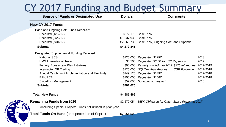#### CY 2017 Funding and Budget Summary

| <b>Source of Funds or Designated Use</b>          | <b>Dollars</b>       | <b>Comments</b>                                         |           |
|---------------------------------------------------|----------------------|---------------------------------------------------------|-----------|
| <b>New CY 2017 Funds</b>                          |                      |                                                         |           |
| Base and Ongoing Soft Funds Received:             |                      |                                                         |           |
| Received (1/12/17)                                |                      | \$672,173 Base PPA                                      |           |
| Received (3/22/17)                                | \$1,037,935 Base PPA |                                                         |           |
| Received (7/31/17)                                |                      | \$2,569,733 Base PPA, Ongoing Soft, and Stipends        |           |
| <b>Subtotal</b>                                   | \$4,279,841          |                                                         |           |
| Designated Supplemental Funding Received          |                      |                                                         |           |
| <b>National SCS</b>                               | \$125,000            | Requested \$125K                                        | 2018      |
| <b>HMS</b> International Travel                   |                      | \$3,500 Requested \$3.5K for ISC Rappatour              | 2017      |
| <b>Fishery Ecosystem Plan Initiatives</b>         | \$90,000             | Partially funded thru 2017 \$276 full request 2017-2019 |           |
| Intersector QP Trading                            | \$125,000            | IFQ Omnibus Request<br><b>CSR Follow-on</b>             | 2017-2018 |
| Annual Catch Limit Implementation and Flexibility | \$149,125            | Requested \$149K                                        | 2017-2018 |
| <b>EFH/RCA</b>                                    | \$150,000            | Requested \$150K                                        | 2017-2018 |
| Swordfish Management                              | \$59,000             | Non-specific request                                    | 2018      |
| <b>Subtotal</b>                                   | \$701,625            |                                                         |           |
|                                                   |                      |                                                         |           |

#### **Total New Funds 1988 1988 1988 1988 1988 1988 1988 1988 1988 1988 1988 1988 1988 1988 1988 1988 1988 1988 1988 1988 1988 1988 1988 1988 1988 1988 1988 1988 1988**





**Remaining Funds from 2016** \$2,670,054 *355K Obligated for Catch Share Review in 2017*

(Including Special Projects/Funds not utilized in prior year.)

**Total Funds On Hand** (or expected as of Sept 1) **\$7,651,520**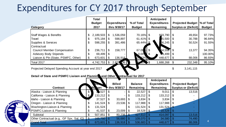#### Expenditures for CY 2017 through September

|                                     | <b>Total</b><br><b>Budget</b> | <b>Expenditures</b> | % of Total               |      | Anticipated<br><b>Expenditures</b> |    | <b>Projected Budget</b>     | Ⅰ% of Total   |
|-------------------------------------|-------------------------------|---------------------|--------------------------|------|------------------------------------|----|-----------------------------|---------------|
| <b>Category</b>                     | 2017                          | thru 9/30/17        | <b>Budget</b>            |      | Remaining                          |    | <b>Surplus or (Deficit)</b> | <b>Budget</b> |
| <b>Staff Wages &amp; Benefits</b>   | \$<br>2,189,503               | \$<br>1,536,059     | 70.16% \$                |      | 603,790                            | \$ | 49,654                      | 97.73%        |
| Travel                              | 975,184                       | \$<br>598,897       | $61.41\%$ \$             |      | 15,500                             |    | 30,788                      | 96.84%        |
| Supplies & Services                 | \$<br>598,255                 | \$<br>391,486       | 65.44% \$                |      | 56,245                             |    | 50,524                      | 91.55%        |
| Contractual                         |                               |                     |                          |      |                                    |    |                             |               |
| <b>Council Member Compensation</b>  | \$<br>236,711                 | \$<br>158,777       | $67.08$ $\frac{1}{2}$ \$ |      | 64,558                             | \$ | 13,377                      | 94.35%        |
| <b>Advisory Body Stipends</b>       | 69,499                        |                     | 0.00                     | ් ති | 59,499                             | 8  |                             | 100.00%       |
| Liaison & Pln (State, PSMFC, Other) | 673,601                       | 136,918             | 83%<br>20                |      | 448,677                            |    | 88,006                      | 86.93%        |
| <b>Total 2017</b>                   | 4,742,753                     | \$<br>$2,822$ 36    | .007                     | ▶\$  | 1,688,268                          |    | 232,348                     | 95.10%        |
|                                     |                               |                     |                          |      |                                    |    |                             |               |

Projected Delayed Spending Account at year end 2017

 $\$\,3,141,115$ 

4

#### **Detail of State and PSMFC Liaison and Planning, and Other Contractual for 2017**

|                                           |                |                          |                          |                | Anticipated         |                             |
|-------------------------------------------|----------------|--------------------------|--------------------------|----------------|---------------------|-----------------------------|
|                                           |                | <b>ROTH</b>              | <b>Billed</b>            | <b>Balance</b> | <b>Expenditures</b> | <b>Projected Budget</b>     |
| <b>Contract</b>                           |                | <b>BY</b><br><b>Iget</b> | thru 9/30/17             | Remaining      | Remaining           | <b>Surplus or (Deficit)</b> |
| Alaska - Liaison & Planning               | \$             | 3,527                    | $\overline{\phantom{0}}$ | \$<br>22,527   | \$<br>9,011         | 13,516                      |
| California - Liaison & Planning           | $\mathfrak{F}$ | $133,212$ \$             |                          | \$<br>133,212  | 133,212             |                             |
| Idaho - Liaison & Planning                |                | 37,527                   | 33,693                   | 3,834          | 3,834               |                             |
| Oregon - Liaison & Planning               |                | 141,524                  | 23,536                   | 117,988        | 117,988             |                             |
| Washington-Liaison & Planning             |                | 131,524                  |                          | \$<br>131,524  | 131,524             |                             |
| FPSMFC-Liaison & Planning                 |                | 41,537                   | 23,009                   | 18,528         | 18,528              |                             |
| Subtotal                                  |                | 507,851                  | $80,238$ \$              | 427,613        | 414,097             | 13,516                      |
| Other Contractual (e.g., GF Spx, Sal, IQ) |                | 165,750                  | $56,680$   \$            | 109,070        | 34,580              | 74,490                      |
| <b>Grand Total</b>                        |                | 673,601                  | $136,918$ $\sqrt{5}$     | 536,683        | 448,677             | 88,006                      |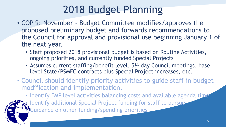### 2018 Budget Planning

- COP 9: November Budget Committee modifies/approves the proposed preliminary budget and forwards recommendations to the Council for approval and provisional use beginning January 1 of the next year.
	- Staff proposed 2018 provisional budget is based on Routine Activities, ongoing priorities, and currently funded Special Projects
	- Assumes current staffing/benefit level, 5½ day Council meetings, base level State/PSMFC contracts plus Special Project increases, etc.
- Council should identify priority activities to guide staff in budget modification and implementation.

• Identify FMP level activities balancing costs and available agenda time • Identify additional Special Project funding for staff to pursue **EGuidance on other funding/spending priorities**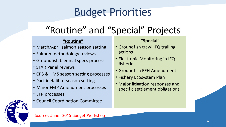### Budget Priorities

### "Routine" and "Special" Projects

#### "Routine"

- March/April salmon season setting
- Salmon methodology reviews
- Groundfish biennial specs process
- STAR Panel reviews
- CPS & HMS season setting processes
- Pacific Halibut season setting
- Minor FMP Amendment processes
- EFP processes



• Council Coordination Committee

#### "Special"

- Groundfish trawl IFQ trailing actions
- Electronic Monitoring in IFQ fisheries
- Groundfish EFH Amendment
- Fishery Ecosystem Plan
- Major litigation responses and specific settlement obligations

Source: June, 2015 Budget Workshop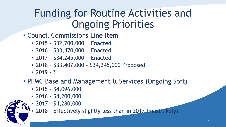### Funding for Routine Activities and Ongoing Priorities

- Council Commissions Line Item
	- 2015 \$32,700,000 Enacted
	- 2016 \$33,470,000 Enacted
	- 2017 \$34,245,000 Enacted
	- 2018 \$33,407,000 \$34,245,000 Proposed
	- $2019 ?$
- PFMC Base and Management & Services (Ongoing Soft)
	- 2015 \$4,096,000
	- 2016 \$4,200,000
	- 2017 \$4,280,000

• 2018 - Effectively slightly less than in 2017 (most likely)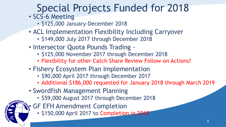### Special Projects Funded for 2018

- SCS-6 Meeting
	- \$125,000 January-December 2018
- ACL Implementation Flexibility Including Carryover
	- \$149,000 July 2017 through December 2018
- Intersector Quota Pounds Trading
	- \$125,000 November 2017 through December 2018
	- Flexibility for other Catch Share Review Follow-on Actions?
- Fishery Ecosystem Plan Implementation
	- \$90,000 April 2017 through December 2017
	- Additional \$186,000 requested for January 2018 through March 2019
- Swordfish Management Planning
	- \$59,000 August 2017 through December 2018
- GF EFH Amendment Completion
	- \$150,000 April 2017 to Completion in 2018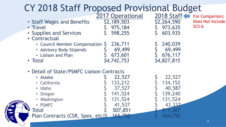|                                        | CY 2018 Staff Proposed Provisional Budget                                                                                                                                              | 2017 Operational                                                       | 2018 Staff                                                                     | For Comparison;             |
|----------------------------------------|----------------------------------------------------------------------------------------------------------------------------------------------------------------------------------------|------------------------------------------------------------------------|--------------------------------------------------------------------------------|-----------------------------|
|                                        | • Staff Wages and Benefits<br>• Travel<br>• Supplies and Services<br>• Contractual                                                                                                     | \$2,189,503<br>975,184<br>598,255                                      | \$2,264,590<br>973,635<br>603,935                                              | Does Not Include<br>$SCS-6$ |
|                                        | • Council Member Compensation S<br>• Advisory Body Stipends<br>• Liaison and Plan<br>• Total                                                                                           | 236,711<br>69,499<br>673,601<br>\$4,742,753                            | 240,039<br>69,499<br>676,117<br>\$4,827,815                                    |                             |
| <sub>a</sub> ageme)<br><b>MSI4 OND</b> | • Detail of State/PSMFC Liaison Contracts<br>· Alaska<br>• California<br>• Idaho<br>• Oregon<br>• Washington<br>• PSMFC<br><b>F</b> Total<br>Plan Contracts (CSR, Spex, etc)\$ 165,750 | 22,527<br>133,212<br>37,527<br>141,524<br>131,524<br>41,537<br>507,851 | 22,527<br>134,152<br>40,587<br>139,240<br>131,524<br>43,337<br>.367<br>164,750 |                             |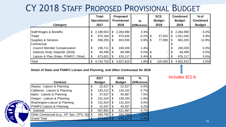#### CY 2018 STAFF PROPOSED PROVISIONAL BUDGET

|                                      | Total<br><b>Operational</b> |                | Proposed<br><b>Provisional</b> | $\%$              | <b>SCS</b><br><b>Budget</b> |              | <b>Combined</b><br><b>Budget</b> | $%$ of<br><b>Combined</b> |
|--------------------------------------|-----------------------------|----------------|--------------------------------|-------------------|-----------------------------|--------------|----------------------------------|---------------------------|
| Category                             | 2017                        |                | 2018                           | <b>Difference</b> | 2018                        |              | 2018                             | <b>Budget</b>             |
| <b>Staff Wages &amp; Benefits</b>    | \$<br>2,189,503             | $\mathfrak{L}$ | 2,264,590                      | 3.3%              |                             | $\mathbb{S}$ | 2,264,590                        | 0.0%                      |
| Travel                               | \$<br>975,184               | \$             | 973,635                        | $-0.2\%$ \$       | 47,910                      |              | 1,021,545                        | 4.9%                      |
| Supplies & Services                  | \$<br>598,255               | \$             | 603,935                        | $0.9\%$ \$        | 77,090                      |              | 681,025                          | 12.8%                     |
| Contractual                          |                             |                |                                |                   |                             |              |                                  |                           |
| <b>Council Member Compensation</b>   | \$<br>236,711               | $\mathfrak{L}$ | 240,039                        | 1.4%              |                             |              | 240,039                          | 0.0%                      |
| Advisory Body Stipends (2018)        | 69,499                      | \$             | 69,499                         | $0.0\%$ \$        | $-1$                        | \$           | 69,499                           | 0.0%                      |
| Liaison & Plan (State, PSMFC, Other) | 673,601                     | $\mathfrak{F}$ | 676,117                        | $0.4\%$ \$        |                             | -1\$         | 676,117                          | 0.0%                      |
| Total                                | 4,742,753                   | \$             | 4,827,815                      | $1.8\%$ \$        | 125,000                     | -\$          | 4,952,815                        | 2.6%                      |

#### **Detail of State and PSMFC Liaison and Planning, and Other Contractual for 2018**

|      |                                           | 2017          | 2018          | $\frac{0}{0}$     |
|------|-------------------------------------------|---------------|---------------|-------------------|
|      | <b>Contract</b>                           | <b>Budget</b> | <b>Budget</b> | <b>Difference</b> |
|      | Alaska - Liaison & Planning               | \$<br>22,527  | \$<br>22,527  | 0.0%              |
|      | California - Liaison & Planning           | \$<br>133,212 | \$<br>134,152 | 0.7%              |
|      | Idaho - Liaison & Planning                | \$<br>37,527  | \$<br>40,587  | 7.5%              |
|      | Oregon - Liaison & Planning               | \$<br>141,524 | \$<br>139,240 | $-1.6%$           |
|      | Washington-Liaison & Planning             | \$<br>131,524 | \$<br>131,524 | 0.0%              |
| isk- | <b>PSMFC-Liaison &amp; Planning</b>       | \$<br>41,537  | \$<br>43,337  | 4.2%              |
|      | Subtotal                                  | \$<br>507,851 | \$<br>511,367 | 0.7%              |
|      | Other Contractual (e.g., GF Spx, CPS, IQ) | \$<br>165,750 | \$<br>164,750 | $-0.6%$           |
|      | <b>Grand Total</b>                        | 673,60        | 676,117       | 0.4%              |

Includes SCS-6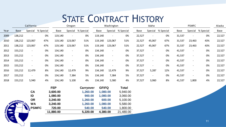#### STATE CONTRACT HISTORY

|      | California  |                          | Oregon    |            |                          |           | Washington   |                          |              | Idaho  |                          |           | <b>PSMFC</b> |                          |           | Alaska |
|------|-------------|--------------------------|-----------|------------|--------------------------|-----------|--------------|--------------------------|--------------|--------|--------------------------|-----------|--------------|--------------------------|-----------|--------|
| Year | <b>Base</b> | Special                  | % Special | Base       | Special                  | % Special | Base         | Special                  | % Special    | Base   | Special                  | % Special | Base         | Special                  | % Special | Base   |
| 2009 | 138,212     | $\overline{\phantom{a}}$ | 0%        | 119,140    | $\overline{\phantom{a}}$ | 0%        | 119,140      | $\overline{\phantom{a}}$ | 0%           | 22,527 | $\overline{\phantom{a}}$ | 0%        | 31,537       | $\overline{\phantom{a}}$ | 0%        | 22,527 |
| 2010 | 138,212     | 123,067                  | 47%       | 119,140    | 123,067                  | 51%       | 119,140      | 123,067                  | 51%          | 22,527 | 45,067                   | 67%       | 31,537       | 23,463                   | 43%       | 22,527 |
| 2011 | 138,212     | 123,067                  | 47%       | 119,140    | 123,067                  | 51%       | 119,140      | 123,067                  | 51%          | 22,527 | 45,067                   | 67%       | 31,537       | 23,463                   | 43%       | 22,527 |
| 2012 | 153,212     | $\sim$                   | 0%        | 134,140    | $\blacksquare$           | 0%        | 134,140      | $\blacksquare$           | 0%           | 37,527 | $\blacksquare$           | 0%        | 41,537       | $\overline{\phantom{0}}$ | 0%        | 22,527 |
| 2013 | 153,212     | $\overline{\phantom{a}}$ | 0%        | 134,140    | $\overline{\phantom{a}}$ | 0%        | 134,140      | $\overline{\phantom{a}}$ | 0%           | 37,527 | $\overline{\phantom{a}}$ | 0%        | 41,537       | $\overline{\phantom{a}}$ | 0%        | 22,527 |
| 2014 | 153,212     | $\overline{\phantom{a}}$ | 0%        | 134,140    | $\overline{\phantom{a}}$ | 0%        | 134,140      | $\overline{\phantom{a}}$ | 0%           | 37,527 | $\overline{\phantom{a}}$ | 0%        | 41,537       | $\overline{\phantom{a}}$ | 0%        | 22,527 |
| 2015 | 153,212     | $\overline{\phantom{a}}$ | 0%        | 134,140    | $\overline{\phantom{a}}$ | 0%        | 134,140      | $\overline{\phantom{a}}$ | 0%           | 37,527 | $\blacksquare$           | 0%        | 41,537       | $\blacksquare$           | 0%        | 22,527 |
| 2016 | 153,212     | 12,479                   | 8%        | 134,140    | 12,479                   | 9%        | 134,140      | 12,479                   | 9%           | 37,527 | 5,287                    | 12%       | 41,537       | $\overline{\phantom{a}}$ | 0%        | 22,527 |
| 2017 | 153,212     | $\overline{\phantom{a}}$ | 0%        | 134,140    | 7,384                    | 5%        | 134,140      | 7,384                    | 5%           | 37,527 | $\overline{\phantom{a}}$ | 0%        | 41,537       | $\overline{\phantom{a}}$ | 0%        | 22,527 |
| 2018 | 153,212     | 5,940                    | 4%        | 134,140    | 5,100                    | 4%        | 134,140      | 5,580                    | 4%           | 37,527 | 3,060                    | 8%        | 41,537       | 1,800                    | 4%        | 22,527 |
|      |             |                          |           | <b>FEP</b> |                          | Carryover | <b>GFIFQ</b> |                          | <b>Total</b> |        |                          |           |              |                          |           |        |

|                          |                      | <b>FEP</b> | Carryover | <b>GFIFQ</b> | <b>Total</b> |
|--------------------------|----------------------|------------|-----------|--------------|--------------|
|                          | <b>CA</b>            | 3,600.00   | 1,260.00  | 1,080.00     | 5,940.00     |
|                          | ID                   | 1,080.00   | 900.00    | 1,080.00     | 3,060.00     |
|                          | <b>OR</b>            | 3,240.00   | 1,260.00  | 600.00       | 5,100.00     |
| MANAGEMENT<br><b>COL</b> | <b>WA</b>            | 3,240.00   | 1,260.00  | 1,080.00     | 5,580.00     |
|                          | $\frac{7}{10}$ PSMFC | 720.00     | 540.00    | 540.00       | 1,800.00     |
| ΥĒ.                      |                      | 11,880.00  | 5,220.00  | 4,380.00     | 21,480.00    |
| v                        |                      |            |           |              |              |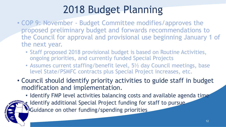### 2018 Budget Planning

- COP 9: November Budget Committee modifies/approves the proposed preliminary budget and forwards recommendations to the Council for approval and provisional use beginning January 1 of the next year.
	- Staff proposed 2018 provisional budget is based on Routine Activities, ongoing priorities, and currently funded Special Projects
	- Assumes current staffing/benefit level, 5<sup>1</sup>/<sub>2</sub> day Council meetings, base level State/PSMFC contracts plus Special Project increases, etc.
- Council should identify priority activities to guide staff in budget modification and implementation.

• Identify FMP level activities balancing costs and available agenda time • Identify additional Special Project funding for staff to pursue **•** Guidance on other funding/spending priorities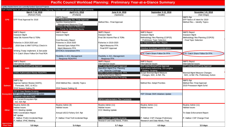#### **Pacific Council Workload Planning: Preliminary Year-at-a-Glance Summary**

|                    | Lightly shaded items are currently funded Special Projects |                                                                                                               |                                                                         |                                          |                                          |
|--------------------|------------------------------------------------------------|---------------------------------------------------------------------------------------------------------------|-------------------------------------------------------------------------|------------------------------------------|------------------------------------------|
|                    |                                                            | Dark shaded items are unfunded Special Projects or Ongoiong Priorities with substantial workload requirements |                                                                         |                                          |                                          |
|                    | March 7-14, 2018                                           | April 5-11, 2018                                                                                              | June 6-14, 2018                                                         | September 5-12, 2018                     | November 1-8, 2018                       |
|                    | (Rohnert Park)                                             | (Portland)                                                                                                    | (Spokane)                                                               | (Seattle)                                | (San Diego)                              |
|                    |                                                            | <b>NMFS Report</b>                                                                                            |                                                                         |                                          | <b>NMFS Rpt</b>                          |
| <b>CPS</b>         | EFP Final Approval for 2018                                | ATS Methodology Rev. Final Approval                                                                           |                                                                         |                                          | EFP Notice of Intent for 2019            |
|                    |                                                            | Sardine Assessment &                                                                                          | Method Rev.- Final Approval                                             |                                          | Method Rev.-- Identify Topics            |
|                    |                                                            | Management Measures Final                                                                                     |                                                                         |                                          |                                          |
|                    |                                                            | Process for Review of Reference<br><b>Points for Monitored Stocks</b>                                         |                                                                         |                                          |                                          |
|                    |                                                            |                                                                                                               |                                                                         |                                          |                                          |
|                    | <b>NMFS Report</b>                                         | <b>NMFS Report</b>                                                                                            | <b>NMFS Report</b>                                                      | <b>NMFS Report</b>                       | <b>NMFS Report</b>                       |
|                    | <b>Inseason Mgmt</b>                                       | <b>Inseason Mgmt</b>                                                                                          | <b>Inseason Mgmt</b>                                                    | Inseason Mgmt                            | <b>Inseason Mgmt</b>                     |
|                    | Initial Stk Assmnt Plan & TORs                             |                                                                                                               | Final Stk Assmnt Plan & TORs                                            | Methodology Rev.Planning (COP25)         | Methodology Rev.Planning (COP25)         |
|                    |                                                            | Cost Recovery Report                                                                                          |                                                                         | <b>Preliminary Topic Selection</b>       | <b>Final Topic Selection</b>             |
|                    | Fisheries in 2019-2020 and                                 | Fisheries in 2019-2020                                                                                        | <b>Fisheries in 2019-2020</b>                                           | Sci Improv & Meth Rev - Report           |                                          |
| <b>Groundfish</b>  | 2018 Gear & MWT EFP(s) Check-In                            | <b>Biennial Spex Adopt FPA</b>                                                                                | Mgmt Measures FPA                                                       |                                          |                                          |
|                    |                                                            | Mgmt Measures PPA                                                                                             | Final EFP Approval                                                      | <b>Omnibus Workload Considerations</b>   |                                          |
|                    | Whiting Treaty Implement. & Set-aside                      | <b>EFH-RCA Amendment FPA</b>                                                                                  |                                                                         |                                          |                                          |
|                    | 5-Yr. Catch Share Follow On Final ROA                      |                                                                                                               |                                                                         | 5-Yr. Catch Share Follow On PPA          | 5-Yr. Catch Share Follow On FPA          |
|                    |                                                            | Flexibility in ACL Management                                                                                 | Flexibility in ACL Management                                           |                                          |                                          |
|                    |                                                            | Response ROA/PPA                                                                                              | Response FPA                                                            |                                          |                                          |
|                    | <b>NMFS Report</b>                                         |                                                                                                               | <b>NMFS Report</b>                                                      | <b>NMFS Report</b>                       | <b>NMFS Report</b>                       |
|                    | International Issues                                       |                                                                                                               | International Issues                                                    | International Issues                     | International Issues                     |
|                    | <b>EFP Initial Review/Final Approval</b>                   |                                                                                                               | <b>EFP Initial Review/Final Approval</b>                                | <b>EFP Initial Review/Final Approval</b> | <b>EFP Initial Review/Final Approval</b> |
| <b>HMS</b>         |                                                            |                                                                                                               | Swordfish Mgmt Proj. Planning                                           | Amendment Authorizing SS-Longline        |                                          |
|                    |                                                            |                                                                                                               | Inc. Observer Coverage                                                  | Fishery: Scoping                         |                                          |
|                    | <b>DSBG Authorization-Revise ROA/PPA</b>                   |                                                                                                               | <b>DSBG Authorization-Permit: FPA</b>                                   | Scope Biennial Mgmt Measure              | <b>Biennial Mgmt Measure Changes</b>     |
|                    |                                                            |                                                                                                               | <b>DGN Performance Metrics</b><br><b>HMS Permit Citizenship Scoping</b> | Changes, SDC, & Ref. Pts.                | SDC, & Ref. Pts. Preliminary Action      |
|                    |                                                            |                                                                                                               |                                                                         |                                          |                                          |
|                    | NMFS Rpt                                                   |                                                                                                               |                                                                         |                                          | <b>NMFS Rpt</b>                          |
|                    | Approve Salmon Review (SAFE),                              | 2018 Method Rev.--Identify Topics                                                                             |                                                                         | Method Rev: Adopt Priorities             | Method Rev: Final Approval               |
| <b>Salmon</b>      | Forecasts, SDC, & ACLs                                     |                                                                                                               |                                                                         |                                          | 2019 Preseason Mgmt Schd                 |
|                    | 2018 Season Setting (5)                                    | 2018 Season Setting (4)                                                                                       |                                                                         |                                          |                                          |
|                    | FEP 5-Year Review Scoping                                  |                                                                                                               |                                                                         |                                          |                                          |
|                    | <b>Ecosystem FEP Climate Shift Initiatives Update</b>      |                                                                                                               |                                                                         | FEP Climate Shift Initiatives Update     |                                          |
|                    | Sablefish Indicators MSE                                   |                                                                                                               |                                                                         |                                          |                                          |
|                    | CA Current Ecosystem Rpt                                   |                                                                                                               | <b>EBFM Implementation Plan Comments</b>                                |                                          |                                          |
|                    | Incl. IEA Rpt                                              |                                                                                                               |                                                                         |                                          |                                          |
|                    | Routine Admin (9)                                          | Routine Admin (9)                                                                                             | Routine Admin (11)                                                      | Routine Admin (11)                       | Routine Admin (11)                       |
|                    | <b>Habitat Issues</b>                                      | Habitat Issues                                                                                                | <b>Habitat Issues</b>                                                   | Habitat Issues                           | Habitat Issues                           |
| <b>Other</b>       | <b>CCC Meeting Update</b>                                  |                                                                                                               | <b>CCC Meeting Update</b>                                               |                                          |                                          |
|                    | <b>NMS Coordination Report</b>                             | Annual USCG Fishery Enf. Rpt                                                                                  |                                                                         |                                          | Tri-State Enforcement Report             |
|                    | MP Update                                                  |                                                                                                               |                                                                         |                                          |                                          |
|                    | P. Halibut: Prelim Incidental Regs                         | P. Halibut: Final Troll Incidental Regs                                                                       | P. Halibut CSP Change Scoping                                           | P. Halibut: CSP Change-Preliminary       | P. Halibut: CSP Change Final             |
|                    | P. Halibut: IPHC Meeting                                   |                                                                                                               | Research and Data Needs. Prelim.                                        | Research and Data Needs. Final.          |                                          |
| <b>Approximate</b> |                                                            |                                                                                                               |                                                                         |                                          |                                          |
| <b>Floor Time</b>  | 5.8 days                                                   | 5.4 days                                                                                                      | 5.7 days                                                                | 4.9 days                                 | $3.5$ davs                               |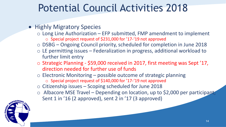#### • Highly Migratory Species

- $\circ$  Long Line Authorization EFP submitted, FMP amendment to implement o Special project request of \$231,000 for '17-'19 not approved
- o DSBG Ongoing Council priority, scheduled for completion in June 2018
- o LE permitting issues Federalization in progress, additional workload to further limit entry
- o Strategic Planning \$59,000 received in 2017, first meeting was Sept '17, direction needed for further use of funds
- o Electronic Monitoring possible outcome of strategic planning
	- o Special project request of \$140,000 for '17-'19 not approved
- o Citizenship issues Scoping scheduled for June 2018
- o Albacore MSE Travel Depending on location, up to \$2,000 per participant; Sent 1 in '16 (2 approved), sent 2 in '17 (3 approved)

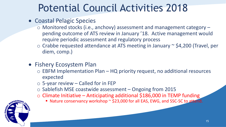- Coastal Pelagic Species
	- o Monitored stocks (i.e., anchovy) assessment and management category pending outcome of ATS review in January '18. Active management would require periodic assessment and regulatory process
	- o Crabbe requested attendance at ATS meeting in January ~ \$4,200 (Travel, per diem, comp.)
- **Fishery Ecosystem Plan** 
	- o EBFM Implementation Plan HQ priority request, no additional resources expected
	- $\circ$  5-year review Called for in FEP
	- o Sablefish MSE coastwide assessment Ongoing from 2015
	- o Climate Initiative Anticipating additional \$186,000 in TEMP funding
		- Nature conservancy workshop ~ \$23,000 for all EAS, EWG, and SSC-SC to attend.

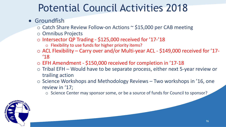#### **•** Groundfish

- o Catch Share Review Follow-on Actions ~ \$15,000 per CAB meeting
- o Omnibus Projects
- o Intersector QP Trading \$125,000 received for '17-'18
	- o Flexibility to use funds for higher priority items?
- o ACL Flexibility Carry over and/or Multi-year ACL \$149,000 received for '17- '18
- o EFH Amendment \$150,000 received for completion in '17-18
- o Tribal EFH Would have to be separate process, either next 5-year review or trailing action
- o Science Workshops and Methodology Reviews Two workshops in '16, one review in '17;
	- o Science Center may sponsor some, or be a source of funds for Council to sponsor?

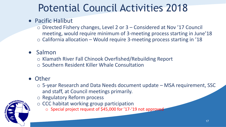#### Pacific Halibut

- o Directed Fishery changes, Level 2 or 3 Considered at Nov '17 Council meeting, would require minimum of 3-meeting process starting in June'18
- $\circ$  California allocation Would require 3-meeting process starting in '18

#### • Salmon

- o Klamath River Fall Chinook Overfished/Rebuilding Report
- o Southern Resident Killer Whale Consultation

#### • Other

- o 5-year Research and Data Needs document update MSA requirement, SSC and staff, at Council meetings primarily.
- o Regulatory Reform process
- o CCC habitat working group participation
	- o Special project request of \$45,000 for '17-'19 not approved



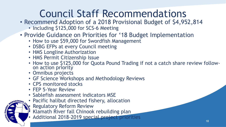### Council Staff Recommendations

- Recommend Adoption of a 2018 Provisional Budget of \$4,952,814
	- Including \$125,000 for SCS-6 Meeting
- Provide Guidance on Priorities for '18 Budget Implementation
	- How to use \$59,000 for Swordfish Management
	- DSBG EFPs at every Council meeting
	- HMS Longline Authorization
	- HMS Permit Citizenship Issue
	- How to use \$125,000 for Quota Pound Trading if not a catch share review followon action priority
	- Omnibus projects
	- GF Science Workshops and Methodology Reviews
	- CPS monitored stocks
	- FEP 5-Year Review
	- Sablefish assessment indicators MSE
	- Pacific halibut directed fishery, allocation
	- **Regulatory Reform Review**
	- Klamath River fall Chinook rebuilding plan
	- Additional 2018-2019 special project priorities